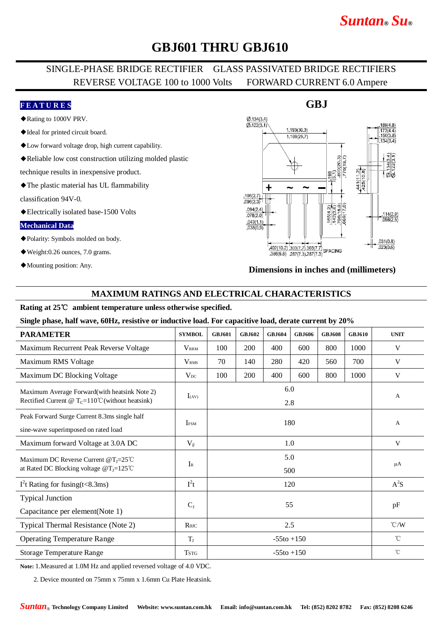# *Suntan***®** *Su***®**

# **GBJ601 THRU GBJ610**

## SINGLE-PHASE BRIDGE RECTIFIER GLASS PASSIVATED BRIDGE RECTIFIERS REVERSE VOLTAGE 100 to 1000 Volts FORWARD CURRENT 6.0 Ampere

### **F E A T U R E S**

- ◆Rating to 1000V PRV.
- ◆Ideal for printed circuit board.
- ◆Low forward voltage drop, high current capability.
- ◆Reliable low cost construction utilizing molded plastic

technique results in inexpensive product.

◆The plastic material has UL flammability

classification 94V-0.

◆Electrically isolated base-1500 Volts

#### **Mechanical Data**

- ◆Polarity: Symbols molded on body.
- ◆Weight:0.26 ounces, 7.0 grams.
- ◆Mounting position: Any.

#### $Ø$  134(3.4)  $\overline{0}$  122(3.1)  $1.193(30.3)$ 1,169(29.7) 441(112)<br>425(10.8)  $\sigma$ +  $.106(2.7)$  $.096(2.3)$  $.094(2.4)$  $\frac{.114(2.9)}{.098(2.5)}$  $.078(2.0)$  $.043(1.1)$  $.035(0.9)$  $031(0.8)$  $\frac{402(10.2) \cdot 303(7.7) \cdot 303(7.7)}{386(9.8) \cdot 287(7.3) \cdot 287(7.3)}$  SPACING  $.023(0.6)$  $386(9.8)$   $287(7.3)$   $287(7.3)$

#### **Dimensions in inches and (millimeters)**

### **MAXIMUM RATINGS AND ELECTRICAL CHARACTERISTICS**

### **Rating at 25**℃ **ambient temperature unless otherwise specified.**

#### **Single phase, half wave, 60Hz, resistive or inductive load. For capacitive load, derate current by 20%**

| <b>PARAMETER</b>                                                                                             | <b>SYMBOL</b>           | <b>GBJ601</b>   | <b>GBJ602</b> | <b>GBJ604</b> | <b>GBJ606</b> | <b>GBJ608</b> | <b>GBJ610</b> | <b>UNIT</b>     |
|--------------------------------------------------------------------------------------------------------------|-------------------------|-----------------|---------------|---------------|---------------|---------------|---------------|-----------------|
| Maximum Recurrent Peak Reverse Voltage                                                                       | <b>VRRM</b>             | 100             | 200           | 400           | 600           | 800           | 1000          | V               |
| Maximum RMS Voltage                                                                                          | <b>V</b> <sub>RMS</sub> | 70              | 140           | 280           | 420           | 560           | 700           | V               |
| Maximum DC Blocking Voltage                                                                                  | $V_{DC}$                | 100             | 200           | 400           | 600           | 800           | 1000          | V               |
| Maximum Average Forward (with heatsink Note 2)<br>Rectified Current @ $T_c=110^{\circ}$ C (without heatsink) | $I_{(AV)}$              | 6.0<br>2.8      |               |               |               |               |               | $\mathbf{A}$    |
| Peak Forward Surge Current 8.3ms single half<br>sine-wave superimposed on rated load                         | <b>IFSM</b>             | 180             |               |               |               |               |               | $\mathbf{A}$    |
| Maximum forward Voltage at 3.0A DC                                                                           | $V_{\rm F}$             | 1.0             |               |               |               |               |               | V               |
| Maximum DC Reverse Current @T <sub>J</sub> =25°C<br>at Rated DC Blocking voltage $@T_J=125°C$                | $I_{R}$                 | 5.0<br>500      |               |               |               |               |               | $\mu A$         |
| $I2t$ Rating for fusing(t<8.3ms)                                                                             | $I^2t$                  | 120             |               |               |               |               |               | $A^2S$          |
| <b>Typical Junction</b><br>Capacitance per element(Note 1)                                                   | $C_{J}$                 | 55              |               |               |               |               |               | pF              |
| Typical Thermal Resistance (Note 2)                                                                          | $R$ $\theta$ JC         | 2.5             |               |               |               |               |               | $\mathcal{C}/W$ |
| <b>Operating Temperature Range</b>                                                                           | $T_{\rm J}$             | $-55$ to $+150$ |               |               |               |               |               | $^{\circ}$ C    |
| <b>Storage Temperature Range</b>                                                                             | <b>TSTG</b>             | $-55t0 + 150$   |               |               |               |               |               | $^{\circ}$ C    |

**Note:** 1.Measured at 1.0M Hz and applied reversed voltage of 4.0 VDC.

2. Device mounted on 75mm x 75mm x 1.6mm Cu Plate Heatsink.

## **GBJ**